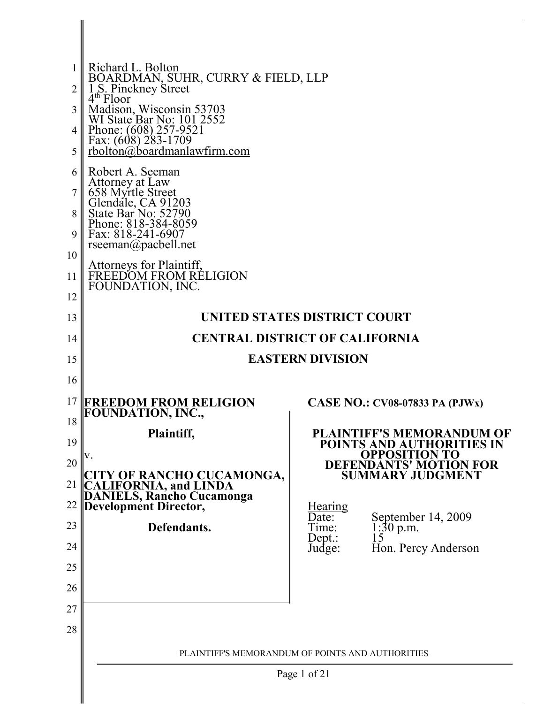|          | Richard L. Bolton                                                                                                  |                                                                                                                                                          |  |  |  |  |
|----------|--------------------------------------------------------------------------------------------------------------------|----------------------------------------------------------------------------------------------------------------------------------------------------------|--|--|--|--|
|          | BOARDMAN, SUHR, CURRY & FIELD, LLP<br>1 S. Pinckney Street<br>4 <sup>th</sup> Floor                                |                                                                                                                                                          |  |  |  |  |
| 3        | Madison, Wisconsin 53703<br>WI State Bar No: 101 2552                                                              |                                                                                                                                                          |  |  |  |  |
| 4        | Phone: $(608)$ 257-9521                                                                                            |                                                                                                                                                          |  |  |  |  |
| 5        | Fax: $(608)$ 283-1709<br>rbolton@boardmanlawfirm.com                                                               |                                                                                                                                                          |  |  |  |  |
| 6        | Robert A. Seeman                                                                                                   |                                                                                                                                                          |  |  |  |  |
|          | Attorney at Law<br>658 Myrtle Street                                                                               |                                                                                                                                                          |  |  |  |  |
| 8        | Glendale, CA 91203<br>State Bar No: 52790<br>Phone: 818-384-8059                                                   |                                                                                                                                                          |  |  |  |  |
| 9        | Fax: 818-241-6907<br>rseeman@pacbell.net                                                                           |                                                                                                                                                          |  |  |  |  |
| 10       |                                                                                                                    |                                                                                                                                                          |  |  |  |  |
| 11       | Attorneys for Plaintiff,<br>FREEDOM FROM RÉLIGION<br>FOUNDATION, INC.                                              |                                                                                                                                                          |  |  |  |  |
| 12       |                                                                                                                    |                                                                                                                                                          |  |  |  |  |
| 13       | UNITED STATES DISTRICT COURT                                                                                       |                                                                                                                                                          |  |  |  |  |
| 14       | <b>CENTRAL DISTRICT OF CALIFORNIA</b>                                                                              |                                                                                                                                                          |  |  |  |  |
| 15       | <b>EASTERN DIVISION</b>                                                                                            |                                                                                                                                                          |  |  |  |  |
| 16       |                                                                                                                    |                                                                                                                                                          |  |  |  |  |
| 17<br>18 | <b>FREEDOM FROM RELIGION</b><br><b>FOUNDATION, INC.,</b>                                                           | <b>CASE NO.: CV08-07833 PA (PJWx)</b><br><b>PLAINTIFF'S MEMORANDUM OF</b><br>POINTS AND AUTHORITIES IN<br><b>DEFENDANTS' MOTION FOR SUMMARY JUDGMENT</b> |  |  |  |  |
| 19       | Plaintiff,                                                                                                         |                                                                                                                                                          |  |  |  |  |
| 20       | V.                                                                                                                 |                                                                                                                                                          |  |  |  |  |
| 21       |                                                                                                                    |                                                                                                                                                          |  |  |  |  |
| 22       | <b>CITY OF RANCHO CUCAMONGA,<br/>CALIFORNIA, and LINDA<br/>DANIELS, Rancho Cucamonga<br/>Development Director,</b> | <u>Hearing</u>                                                                                                                                           |  |  |  |  |
| 23       | Defendants.                                                                                                        | September 14, 2009<br>Date:<br>Time:<br>$1:30$ p.m.<br>15                                                                                                |  |  |  |  |
| 24       |                                                                                                                    | $Dept.$ :<br>Hon. Percy Anderson<br>Judge:                                                                                                               |  |  |  |  |
| 25       |                                                                                                                    |                                                                                                                                                          |  |  |  |  |
| 26       |                                                                                                                    |                                                                                                                                                          |  |  |  |  |
| 27       |                                                                                                                    |                                                                                                                                                          |  |  |  |  |
| 28       |                                                                                                                    |                                                                                                                                                          |  |  |  |  |
|          | PLAINTIFF'S MEMORANDUM OF POINTS AND AUTHORITIES                                                                   |                                                                                                                                                          |  |  |  |  |
|          | Page 1 of 21                                                                                                       |                                                                                                                                                          |  |  |  |  |
|          |                                                                                                                    |                                                                                                                                                          |  |  |  |  |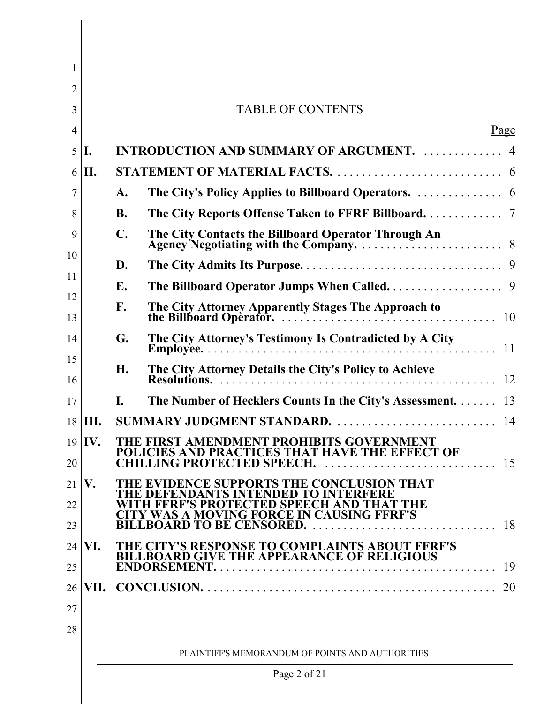| 1        |                                                                                                                                                    |                                                                                          |  |  |  |  |  |
|----------|----------------------------------------------------------------------------------------------------------------------------------------------------|------------------------------------------------------------------------------------------|--|--|--|--|--|
| 2        |                                                                                                                                                    |                                                                                          |  |  |  |  |  |
| 3        |                                                                                                                                                    | <b>TABLE OF CONTENTS</b>                                                                 |  |  |  |  |  |
| 4        |                                                                                                                                                    | Page                                                                                     |  |  |  |  |  |
| 5        | II.                                                                                                                                                | <b>INTRODUCTION AND SUMMARY OF ARGUMENT.</b> 4                                           |  |  |  |  |  |
| 6        | lН.                                                                                                                                                |                                                                                          |  |  |  |  |  |
| 7        |                                                                                                                                                    | A.                                                                                       |  |  |  |  |  |
| 8        |                                                                                                                                                    | The City Reports Offense Taken to FFRF Billboard. 7<br><b>B.</b>                         |  |  |  |  |  |
| 9        | $\mathbf{C}$ .                                                                                                                                     |                                                                                          |  |  |  |  |  |
| 10       |                                                                                                                                                    | D.                                                                                       |  |  |  |  |  |
| 11       |                                                                                                                                                    | E.                                                                                       |  |  |  |  |  |
| 12<br>13 |                                                                                                                                                    | F.                                                                                       |  |  |  |  |  |
| 14       |                                                                                                                                                    | The City Attorney's Testimony Is Contradicted by A City<br>G.                            |  |  |  |  |  |
| 15<br>16 |                                                                                                                                                    | The City Attorney Details the City's Policy to Achieve<br>H.                             |  |  |  |  |  |
| 17       |                                                                                                                                                    | The Number of Hecklers Counts In the City's Assessment. 13<br>Ι.                         |  |  |  |  |  |
| 18       | HII.                                                                                                                                               |                                                                                          |  |  |  |  |  |
| 20       | $19$  IV.<br>THE FIRST AMENDMENT PROHIBITS GOVERNMENT<br>POLICIES AND PRACTICES THAT HAVE THE EFFECT OF<br><b>CHILLING PROTECTED SPEECH.</b><br>15 |                                                                                          |  |  |  |  |  |
| 21       | V.                                                                                                                                                 | THE EVIDENCE SUPPORTS THE CONCLUSION THAT                                                |  |  |  |  |  |
| 22       | THE DEFENDANTS INTENDED TO INTERFERE<br>WITH FFRF'S PROTECTED SPEECH AND THAT THE                                                                  |                                                                                          |  |  |  |  |  |
| 23       |                                                                                                                                                    | <b>TY WAS A MOVING FORCE IN CAUSING FFRF'S</b><br><b>BILLBOARD TO BE CENSORED.</b><br>18 |  |  |  |  |  |
| 24       | THE CITY'S RESPONSE TO COMPLAINTS ABOUT FFRF'S<br>VI.                                                                                              |                                                                                          |  |  |  |  |  |
| 25       |                                                                                                                                                    | <b>BILLBOARD GIVE THE APPEARANCE OF RELIGIOUS</b><br>19                                  |  |  |  |  |  |
| 26       | VII.                                                                                                                                               | 20                                                                                       |  |  |  |  |  |
| 27       |                                                                                                                                                    |                                                                                          |  |  |  |  |  |
| 28       |                                                                                                                                                    |                                                                                          |  |  |  |  |  |
|          | PLAINTIFF'S MEMORANDUM OF POINTS AND AUTHORITIES                                                                                                   |                                                                                          |  |  |  |  |  |
|          | Page 2 of 21                                                                                                                                       |                                                                                          |  |  |  |  |  |
|          |                                                                                                                                                    |                                                                                          |  |  |  |  |  |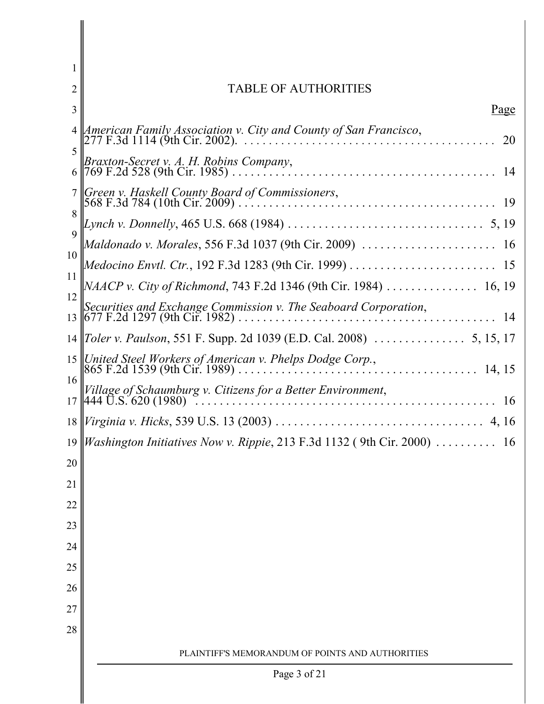| 2              | TABLE OF AUTHORITIES                                                                                                              |  |  |  |  |  |
|----------------|-----------------------------------------------------------------------------------------------------------------------------------|--|--|--|--|--|
| 3              | <u>Page</u>                                                                                                                       |  |  |  |  |  |
|                | American Family Association v. City and County of San Francisco,<br>20<br>5<br>Braxton-Secret v. A. H. Robins Company,<br>14<br>6 |  |  |  |  |  |
|                |                                                                                                                                   |  |  |  |  |  |
|                | 7 Green y. Haskell County Board of Commissioners,                                                                                 |  |  |  |  |  |
| 8              |                                                                                                                                   |  |  |  |  |  |
| $\overline{Q}$ |                                                                                                                                   |  |  |  |  |  |
| 10             |                                                                                                                                   |  |  |  |  |  |
| 11             | <i>NAACP v. City of Richmond</i> , 743 F.2d 1346 (9th Cir. 1984) 16, 19                                                           |  |  |  |  |  |
| 12             | Securities and Exchange Commission v. The Seaboard Corporation,<br>-14                                                            |  |  |  |  |  |
|                |                                                                                                                                   |  |  |  |  |  |
|                |                                                                                                                                   |  |  |  |  |  |
| 16             | Village of Schaumburg v. Citizens for a Better Environment,<br>-16                                                                |  |  |  |  |  |
|                |                                                                                                                                   |  |  |  |  |  |
|                | 19 <i>Washington Initiatives Now v. Rippie</i> , 213 F.3d 1132 (9th Cir. 2000) $\ldots \ldots \ldots$ 16                          |  |  |  |  |  |
| 20             |                                                                                                                                   |  |  |  |  |  |
| 21             |                                                                                                                                   |  |  |  |  |  |
| 22             |                                                                                                                                   |  |  |  |  |  |
| 23             |                                                                                                                                   |  |  |  |  |  |
| 24             |                                                                                                                                   |  |  |  |  |  |
| 25             |                                                                                                                                   |  |  |  |  |  |
| 26             |                                                                                                                                   |  |  |  |  |  |
| 27             |                                                                                                                                   |  |  |  |  |  |
| 28             |                                                                                                                                   |  |  |  |  |  |
|                | PLAINTIFF'S MEMORANDUM OF POINTS AND AUTHORITIES                                                                                  |  |  |  |  |  |
|                | Page 3 of 21                                                                                                                      |  |  |  |  |  |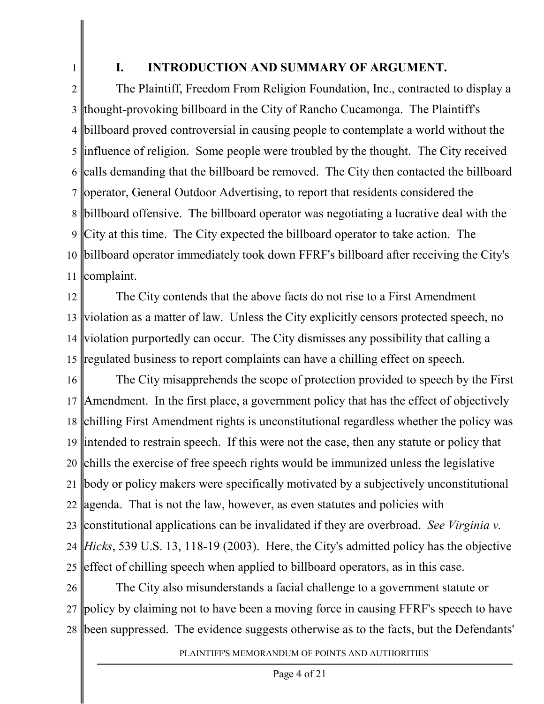1

## **I. INTRODUCTION AND SUMMARY OF ARGUMENT.**

2 3 4 5 6 7 8 9 10 11 The Plaintiff, Freedom From Religion Foundation, Inc., contracted to display a thought-provoking billboard in the City of Rancho Cucamonga. The Plaintiff's billboard proved controversial in causing people to contemplate a world without the influence of religion. Some people were troubled by the thought. The City received calls demanding that the billboard be removed. The City then contacted the billboard operator, General Outdoor Advertising, to report that residents considered the billboard offensive. The billboard operator was negotiating a lucrative deal with the City at this time. The City expected the billboard operator to take action. The billboard operator immediately took down FFRF's billboard after receiving the City's complaint.

12 13 14 15 The City contends that the above facts do not rise to a First Amendment violation as a matter of law. Unless the City explicitly censors protected speech, no violation purportedly can occur. The City dismisses any possibility that calling a regulated business to report complaints can have a chilling effect on speech.

16 17 18 19 intended to restrain speech. If this were not the case, then any statute or policy that 20 21 22 agenda. That is not the law, however, as even statutes and policies with 23 24 25 The City misapprehends the scope of protection provided to speech by the First Amendment. In the first place, a government policy that has the effect of objectively chilling First Amendment rights is unconstitutional regardless whether the policy was chills the exercise of free speech rights would be immunized unless the legislative body or policy makers were specifically motivated by a subjectively unconstitutional constitutional applications can be invalidated if they are overbroad. *See Virginia v. Hicks*, 539 U.S. 13, 118-19 (2003). Here, the City's admitted policy has the objective effect of chilling speech when applied to billboard operators, as in this case.

26 27 28 been suppressed. The evidence suggests otherwise as to the facts, but the Defendants'The City also misunderstands a facial challenge to a government statute or policy by claiming not to have been a moving force in causing FFRF's speech to have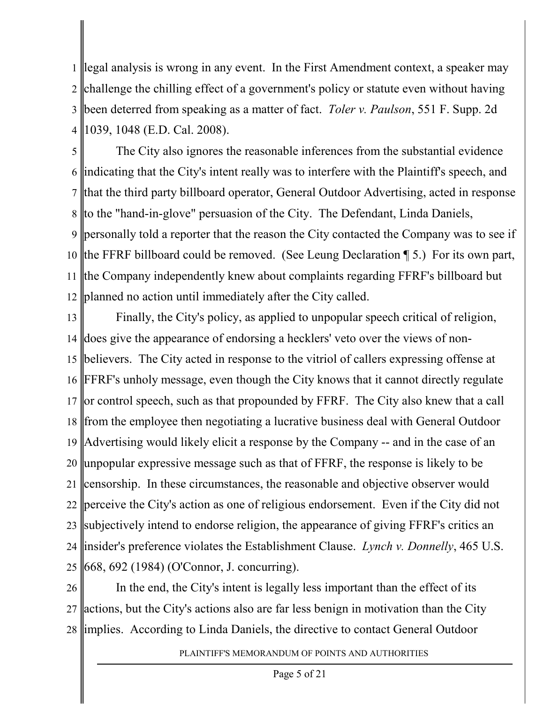1 2 3 4 legal analysis is wrong in any event. In the First Amendment context, a speaker may challenge the chilling effect of a government's policy or statute even without having been deterred from speaking as a matter of fact. *Toler v. Paulson*, 551 F. Supp. 2d 1039, 1048 (E.D. Cal. 2008).

5 6 7 8 to the "hand-in-glove" persuasion of the City. The Defendant, Linda Daniels, 9 personally told a reporter that the reason the City contacted the Company was to see if 10 the FFRF billboard could be removed. (See Leung Declaration 15.) For its own part, 11 12 The City also ignores the reasonable inferences from the substantial evidence indicating that the City's intent really was to interfere with the Plaintiff's speech, and that the third party billboard operator, General Outdoor Advertising, acted in response the Company independently knew about complaints regarding FFRF's billboard but planned no action until immediately after the City called.

13 14 15 16 17 or control speech, such as that propounded by FFRF. The City also knew that a call 18 from the employee then negotiating a lucrative business deal with General Outdoor 19 Advertising would likely elicit a response by the Company -- and in the case of an 20 21 22 perceive the City's action as one of religious endorsement. Even if the City did not 23 subjectively intend to endorse religion, the appearance of giving FFRF's critics an 24 25 Finally, the City's policy, as applied to unpopular speech critical of religion, does give the appearance of endorsing a hecklers' veto over the views of nonbelievers. The City acted in response to the vitriol of callers expressing offense at FFRF's unholy message, even though the City knows that it cannot directly regulate unpopular expressive message such as that of FFRF, the response is likely to be censorship. In these circumstances, the reasonable and objective observer would insider's preference violates the Establishment Clause. *Lynch v. Donnelly*, 465 U.S. 668, 692 (1984) (O'Connor, J. concurring).

26 27 28 implies. According to Linda Daniels, the directive to contact General OutdoorIn the end, the City's intent is legally less important than the effect of its actions, but the City's actions also are far less benign in motivation than the City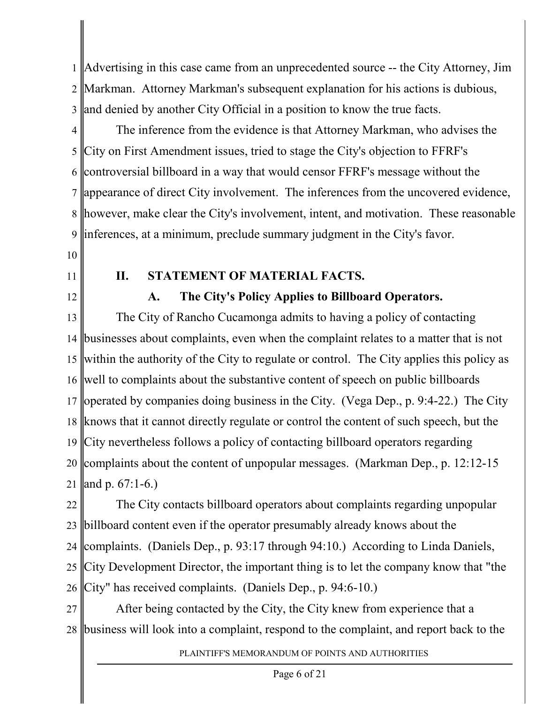1 2 3 Advertising in this case came from an unprecedented source -- the City Attorney, Jim Markman. Attorney Markman's subsequent explanation for his actions is dubious, and denied by another City Official in a position to know the true facts.

4 5 6 7 8 9 The inference from the evidence is that Attorney Markman, who advises the City on First Amendment issues, tried to stage the City's objection to FFRF's controversial billboard in a way that would censor FFRF's message without the appearance of direct City involvement. The inferences from the uncovered evidence, however, make clear the City's involvement, intent, and motivation. These reasonable inferences, at a minimum, preclude summary judgment in the City's favor.

- 10
- 11
- 12

# **II. STATEMENT OF MATERIAL FACTS.**

**A. The City's Policy Applies to Billboard Operators.**

13 14 15 16 17 operated by companies doing business in the City. (Vega Dep., p. 9:4-22.) The City 18 knows that it cannot directly regulate or control the content of such speech, but the 19 City nevertheless follows a policy of contacting billboard operators regarding 20 21 The City of Rancho Cucamonga admits to having a policy of contacting businesses about complaints, even when the complaint relates to a matter that is not within the authority of the City to regulate or control. The City applies this policy as well to complaints about the substantive content of speech on public billboards complaints about the content of unpopular messages. (Markman Dep., p. 12:12-15 and p. 67:1-6.)

22 23 24 25 26 The City contacts billboard operators about complaints regarding unpopular billboard content even if the operator presumably already knows about the complaints. (Daniels Dep., p. 93:17 through 94:10.) According to Linda Daniels, City Development Director, the important thing is to let the company know that "the City" has received complaints. (Daniels Dep., p. 94:6-10.)

27 28 business will look into a complaint, respond to the complaint, and report back to theAfter being contacted by the City, the City knew from experience that a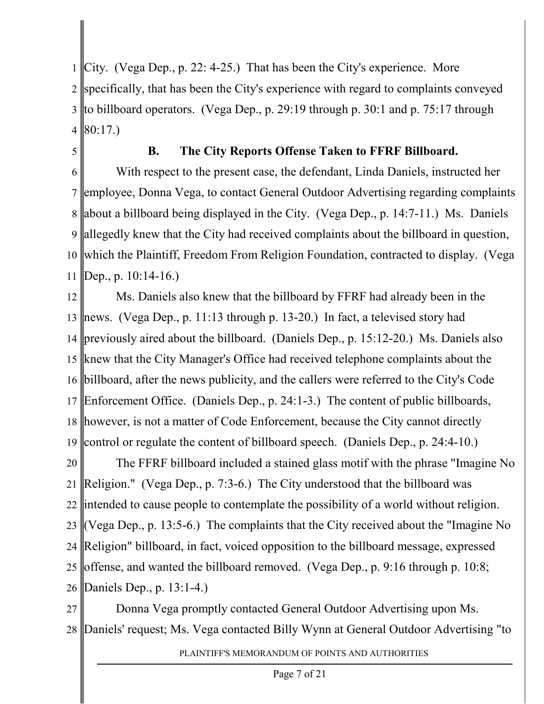1 2 3 4 City. (Vega Dep., p. 22: 4-25.) That has been the City's experience. More specifically, that has been the City's experience with regard to complaints conveyed to billboard operators. (Vega Dep., p. 29:19 through p. 30:1 and p. 75:17 through 80:17.)

5

#### **B. The City Reports Offense Taken to FFRF Billboard.**

6 7 8 9 10 11 With respect to the present case, the defendant, Linda Daniels, instructed her employee, Donna Vega, to contact General Outdoor Advertising regarding complaints about a billboard being displayed in the City. (Vega Dep., p. 14:7-11.) Ms. Daniels allegedly knew that the City had received complaints about the billboard in question, which the Plaintiff, Freedom From Religion Foundation, contracted to display. (Vega Dep., p. 10:14-16.)

12 13 news. (Vega Dep., p. 11:13 through p. 13-20.) In fact, a televised story had 14 previously aired about the billboard. (Daniels Dep., p. 15:12-20.) Ms. Daniels also 15 knew that the City Manager's Office had received telephone complaints about the 16 17 Enforcement Office. (Daniels Dep., p. 24:1-3.) The content of public billboards, 18 however, is not a matter of Code Enforcement, because the City cannot directly 19 Ms. Daniels also knew that the billboard by FFRF had already been in the billboard, after the news publicity, and the callers were referred to the City's Code control or regulate the content of billboard speech. (Daniels Dep., p. 24:4-10.)

20 21 22 intended to cause people to contemplate the possibility of a world without religion. 23 (Vega Dep., p. 13:5-6.) The complaints that the City received about the "Imagine No 24 25 26 The FFRF billboard included a stained glass motif with the phrase "Imagine No Religion." (Vega Dep., p. 7:3-6.) The City understood that the billboard was Religion" billboard, in fact, voiced opposition to the billboard message, expressed offense, and wanted the billboard removed. (Vega Dep., p. 9:16 through p. 10:8; Daniels Dep., p. 13:1-4.)

27 28 Donna Vega promptly contacted General Outdoor Advertising upon Ms. Daniels' request; Ms. Vega contacted Billy Wynn at General Outdoor Advertising "to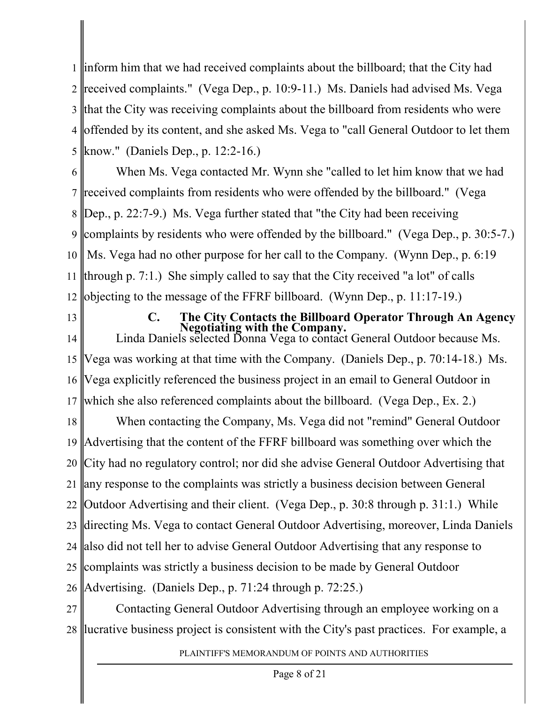1 inform him that we had received complaints about the billboard; that the City had 2 3 4 5 received complaints." (Vega Dep., p. 10:9-11.) Ms. Daniels had advised Ms. Vega that the City was receiving complaints about the billboard from residents who were offended by its content, and she asked Ms. Vega to "call General Outdoor to let them know." (Daniels Dep., p. 12:2-16.)

6 7 8 9 10 11 12 When Ms. Vega contacted Mr. Wynn she "called to let him know that we had received complaints from residents who were offended by the billboard." (Vega Dep., p. 22:7-9.) Ms. Vega further stated that "the City had been receiving complaints by residents who were offended by the billboard." (Vega Dep., p. 30:5-7.) Ms. Vega had no other purpose for her call to the Company. (Wynn Dep., p. 6:19 through p. 7:1.) She simply called to say that the City received "a lot" of calls objecting to the message of the FFRF billboard. (Wynn Dep., p. 11:17-19.)

13

**C. The City Contacts the Billboard Operator Through An Agency Negotiating with the Company.** Linda Daniels selected Donna Vega to contact General Outdoor because Ms.

14 15 16 17 Vega was working at that time with the Company. (Daniels Dep., p. 70:14-18.) Ms. Vega explicitly referenced the business project in an email to General Outdoor in which she also referenced complaints about the billboard. (Vega Dep., Ex. 2.)

18 19 20 21 22 Outdoor Advertising and their client. (Vega Dep., p. 30:8 through p. 31:1.) While 23 directing Ms. Vega to contact General Outdoor Advertising, moreover, Linda Daniels 24 25 26 When contacting the Company, Ms. Vega did not "remind" General Outdoor Advertising that the content of the FFRF billboard was something over which the City had no regulatory control; nor did she advise General Outdoor Advertising that any response to the complaints was strictly a business decision between General also did not tell her to advise General Outdoor Advertising that any response to complaints was strictly a business decision to be made by General Outdoor Advertising. (Daniels Dep., p. 71:24 through p. 72:25.)

27 28 Contacting General Outdoor Advertising through an employee working on a lucrative business project is consistent with the City's past practices. For example, a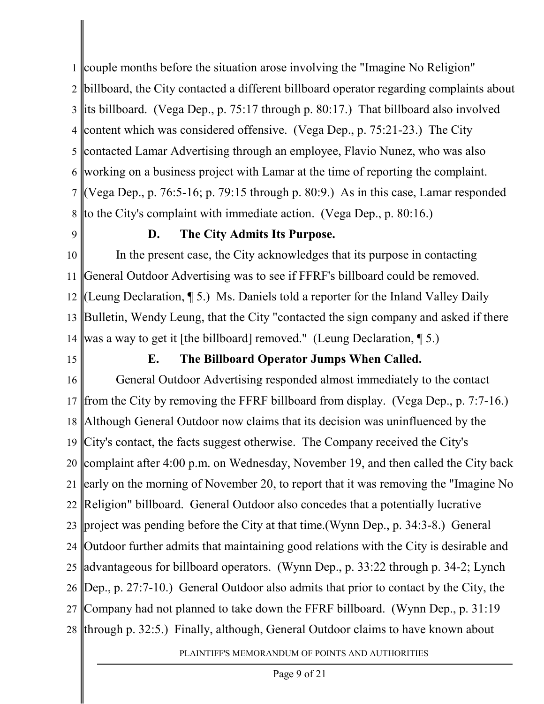1 couple months before the situation arose involving the "Imagine No Religion" 2 3 its billboard. (Vega Dep., p. 75:17 through p. 80:17.) That billboard also involved 4 content which was considered offensive. (Vega Dep., p. 75:21-23.) The City 5 6 7 8 billboard, the City contacted a different billboard operator regarding complaints about contacted Lamar Advertising through an employee, Flavio Nunez, who was also working on a business project with Lamar at the time of reporting the complaint. (Vega Dep., p. 76:5-16; p. 79:15 through p. 80:9.) As in this case, Lamar responded to the City's complaint with immediate action. (Vega Dep., p. 80:16.)

9

### **D. The City Admits Its Purpose.**

10 11 12 13 14 In the present case, the City acknowledges that its purpose in contacting General Outdoor Advertising was to see if FFRF's billboard could be removed. (Leung Declaration, ¶ 5.) Ms. Daniels told a reporter for the Inland Valley Daily Bulletin, Wendy Leung, that the City "contacted the sign company and asked if there was a way to get it [the billboard] removed." (Leung Declaration, ¶ 5.)

15

### **E. The Billboard Operator Jumps When Called.**

16 17 18 19 City's contact, the facts suggest otherwise. The Company received the City's 20 complaint after 4:00 p.m. on Wednesday, November 19, and then called the City back 21 22 Religion" billboard. General Outdoor also concedes that a potentially lucrative 23 project was pending before the City at that time.(Wynn Dep., p. 34:3-8.) General 24 25 26 27 28 through p. 32:5.) Finally, although, General Outdoor claims to have known aboutGeneral Outdoor Advertising responded almost immediately to the contact from the City by removing the FFRF billboard from display. (Vega Dep., p. 7:7-16.) Although General Outdoor now claims that its decision was uninfluenced by the early on the morning of November 20, to report that it was removing the "Imagine No Outdoor further admits that maintaining good relations with the City is desirable and advantageous for billboard operators. (Wynn Dep., p. 33:22 through p. 34-2; Lynch Dep., p. 27:7-10.) General Outdoor also admits that prior to contact by the City, the Company had not planned to take down the FFRF billboard. (Wynn Dep., p. 31:19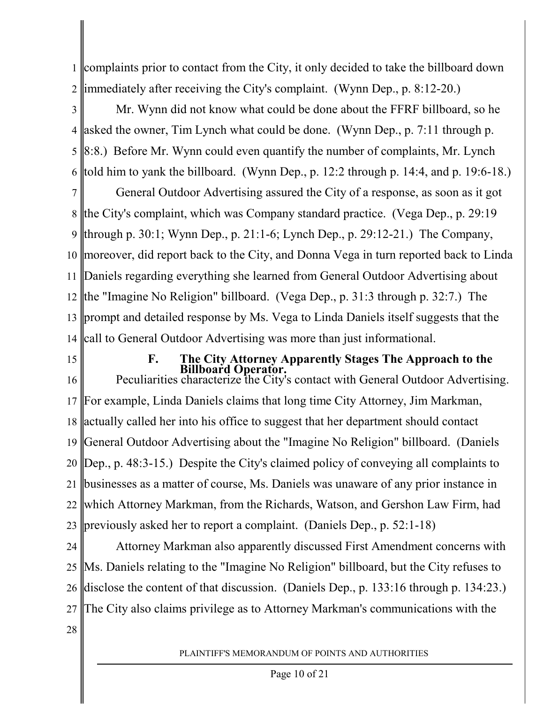1 2 complaints prior to contact from the City, it only decided to take the billboard down immediately after receiving the City's complaint. (Wynn Dep., p. 8:12-20.)

3 4 5 6 Mr. Wynn did not know what could be done about the FFRF billboard, so he asked the owner, Tim Lynch what could be done. (Wynn Dep., p. 7:11 through p. 8:8.) Before Mr. Wynn could even quantify the number of complaints, Mr. Lynch told him to yank the billboard. (Wynn Dep., p. 12:2 through p. 14:4, and p. 19:6-18.)

7 8 9 10 moreover, did report back to the City, and Donna Vega in turn reported back to Linda 11 12 13 14 General Outdoor Advertising assured the City of a response, as soon as it got the City's complaint, which was Company standard practice. (Vega Dep., p. 29:19 through p. 30:1; Wynn Dep., p. 21:1-6; Lynch Dep., p. 29:12-21.) The Company, Daniels regarding everything she learned from General Outdoor Advertising about the "Imagine No Religion" billboard. (Vega Dep., p. 31:3 through p. 32:7.) The prompt and detailed response by Ms. Vega to Linda Daniels itself suggests that the call to General Outdoor Advertising was more than just informational.

15

# **F. The City Attorney Apparently Stages The Approach to the Billboard Operator.** Peculiarities characterize the City's contact with General Outdoor Advertising.

16 17 18 19 20 21 22 23 For example, Linda Daniels claims that long time City Attorney, Jim Markman, actually called her into his office to suggest that her department should contact General Outdoor Advertising about the "Imagine No Religion" billboard. (Daniels Dep., p. 48:3-15.) Despite the City's claimed policy of conveying all complaints to businesses as a matter of course, Ms. Daniels was unaware of any prior instance in which Attorney Markman, from the Richards, Watson, and Gershon Law Firm, had previously asked her to report a complaint. (Daniels Dep., p. 52:1-18)

24 25 26 27 Attorney Markman also apparently discussed First Amendment concerns with Ms. Daniels relating to the "Imagine No Religion" billboard, but the City refuses to disclose the content of that discussion. (Daniels Dep., p. 133:16 through p. 134:23.) The City also claims privilege as to Attorney Markman's communications with the

28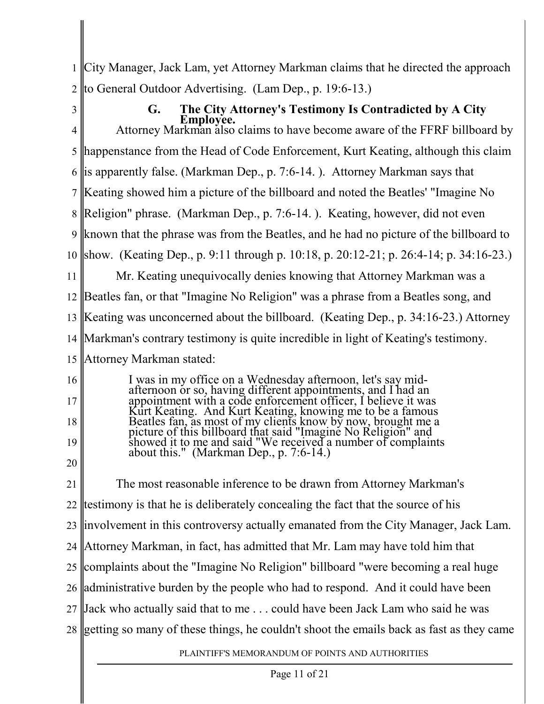1 2 City Manager, Jack Lam, yet Attorney Markman claims that he directed the approach to General Outdoor Advertising. (Lam Dep., p. 19:6-13.)

3

14

4 5 6 7 8 9 10 11 12 13 **G. The City Attorney's Testimony Is Contradicted by A City Employee.** Attorney Markman also claims to have become aware of the FFRF billboard by happenstance from the Head of Code Enforcement, Kurt Keating, although this claim is apparently false. (Markman Dep., p. 7:6-14. ). Attorney Markman says that Keating showed him a picture of the billboard and noted the Beatles' "Imagine No Religion" phrase. (Markman Dep., p. 7:6-14. ). Keating, however, did not even known that the phrase was from the Beatles, and he had no picture of the billboard to show. (Keating Dep., p. 9:11 through p. 10:18, p. 20:12-21; p. 26:4-14; p. 34:16-23.) Mr. Keating unequivocally denies knowing that Attorney Markman was a Beatles fan, or that "Imagine No Religion" was a phrase from a Beatles song, and Keating was unconcerned about the billboard. (Keating Dep., p. 34:16-23.) Attorney

Markman's contrary testimony is quite incredible in light of Keating's testimony.

- 15 Attorney Markman stated:
- 16 17 18 19 20 I was in my office on a Wednesday afternoon, let's say midafternoon or so, having different appointments, and I had an appointment with a code enforcement officer, I believe it was Kurt Keating. And Kurt Keating, knowing me to be a famous Beatles fan, as most of my clients know by now, brought me a picture of this billboard that said "Imagine No Religion" and showed it to me and said "We received a number of complaints about this." (Markman Dep., p. 7:6-14.)
- 21 22 23 24 25 26 27 28 getting so many of these things, he couldn't shoot the emails back as fast as they cameThe most reasonable inference to be drawn from Attorney Markman's testimony is that he is deliberately concealing the fact that the source of his involvement in this controversy actually emanated from the City Manager, Jack Lam. Attorney Markman, in fact, has admitted that Mr. Lam may have told him that complaints about the "Imagine No Religion" billboard "were becoming a real huge administrative burden by the people who had to respond. And it could have been Jack who actually said that to me . . . could have been Jack Lam who said he was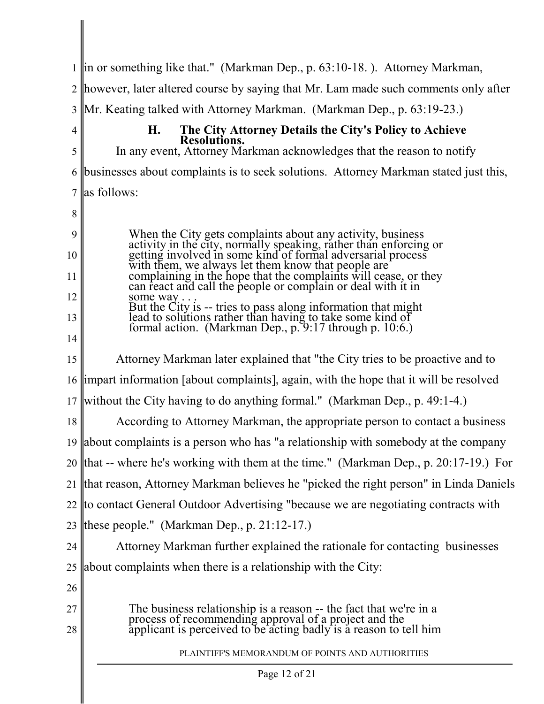1 2 3 4 5 6 7 8 9 10 11 12 13 14 15 16 17 18 19 20 21 22 |to contact General Outdoor Advertising "because we are negotiating contracts with 23 24 25 26 27 28 PLAINTIFF'S MEMORANDUM OF POINTS AND AUTHORITIES Page 12 of 21 in or something like that." (Markman Dep., p. 63:10-18. ). Attorney Markman, however, later altered course by saying that Mr. Lam made such comments only after Mr. Keating talked with Attorney Markman. (Markman Dep., p. 63:19-23.) **H. The City Attorney Details the City's Policy to Achieve Resolutions.** In any event, Attorney Markman acknowledges that the reason to notify businesses about complaints is to seek solutions. Attorney Markman stated just this, as follows: When the City gets complaints about any activity, business activity in the city, normally speaking, rather than enforcing or getting involved in some kind of formal adversarial process with them, we always let them know that people are complaining in the hope that the complaints will cease, or they can react and call the people or complain or deal with it in some way. But the City is -- tries to pass along information that might lead to solutions rather than having to take some kind of formal action. (Markman Dep., p. 9:17 through p. 10:6.) Attorney Markman later explained that "the City tries to be proactive and to impart information [about complaints], again, with the hope that it will be resolved without the City having to do anything formal." (Markman Dep., p. 49:1-4.) According to Attorney Markman, the appropriate person to contact a business about complaints is a person who has "a relationship with somebody at the company that -- where he's working with them at the time." (Markman Dep., p. 20:17-19.) For that reason, Attorney Markman believes he "picked the right person" in Linda Daniels these people." (Markman Dep., p. 21:12-17.) Attorney Markman further explained the rationale for contacting businesses about complaints when there is a relationship with the City: The business relationship is a reason -- the fact that we're in a process of recommending approval of a project and the applicant is perceived to be acting badly is a reason to tell him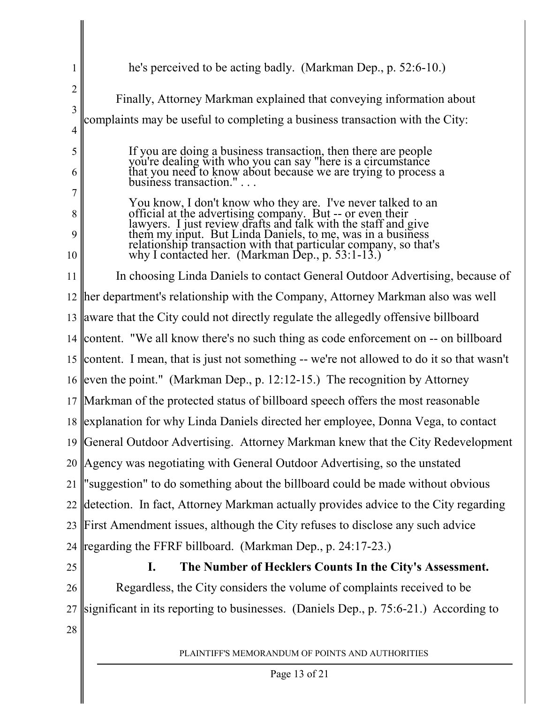| 1              | he's perceived to be acting badly. (Markman Dep., p. 52:6-10.)                                                                                                                     |  |  |  |
|----------------|------------------------------------------------------------------------------------------------------------------------------------------------------------------------------------|--|--|--|
| $\overline{2}$ |                                                                                                                                                                                    |  |  |  |
| 3              | Finally, Attorney Markman explained that conveying information about                                                                                                               |  |  |  |
| $\overline{4}$ | complaints may be useful to completing a business transaction with the City:                                                                                                       |  |  |  |
| 5              | If you are doing a business transaction, then there are people                                                                                                                     |  |  |  |
| 6              | you're dealing with who you can say "here is a circumstance<br>that you need to know about because we are trying to process a<br>business transaction."                            |  |  |  |
| 7              |                                                                                                                                                                                    |  |  |  |
| 8              | You know, I don't know who they are. I've never talked to an                                                                                                                       |  |  |  |
| 9              | official at the advertising company. But -- or even their<br>lawyers. I just review drafts and talk with the staff and give                                                        |  |  |  |
| 10             | them my input. But Linda Daniels, to me, was in a business<br>relationship transaction with that particular company, so that's<br>why I contacted her. (Markman Dep., p. 53:1-13.) |  |  |  |
| 11             | In choosing Linda Daniels to contact General Outdoor Advertising, because of                                                                                                       |  |  |  |
|                | 12   her department's relationship with the Company, Attorney Markman also was well                                                                                                |  |  |  |
|                | 13 aware that the City could not directly regulate the allegedly offensive billboard                                                                                               |  |  |  |
|                | 14 content. "We all know there's no such thing as code enforcement on -- on billboard                                                                                              |  |  |  |
|                | 15 content. I mean, that is just not something -- we're not allowed to do it so that wasn't                                                                                        |  |  |  |
|                | 16 even the point." (Markman Dep., p. 12:12-15.) The recognition by Attorney                                                                                                       |  |  |  |
|                | 17 Markman of the protected status of billboard speech offers the most reasonable                                                                                                  |  |  |  |
|                | 18   explanation for why Linda Daniels directed her employee, Donna Vega, to contact                                                                                               |  |  |  |
|                | 19 General Outdoor Advertising. Attorney Markman knew that the City Redevelopment                                                                                                  |  |  |  |
|                | 20 Agency was negotiating with General Outdoor Advertising, so the unstated                                                                                                        |  |  |  |
| 21             | 'suggestion" to do something about the billboard could be made without obvious                                                                                                     |  |  |  |
| 22             | detection. In fact, Attorney Markman actually provides advice to the City regarding                                                                                                |  |  |  |
| 23             | First Amendment issues, although the City refuses to disclose any such advice                                                                                                      |  |  |  |
| 24             | regarding the FFRF billboard. (Markman Dep., p. 24:17-23.)                                                                                                                         |  |  |  |
| 25             | The Number of Hecklers Counts In the City's Assessment.<br>$\mathbf{I}$ .                                                                                                          |  |  |  |
| 26             | Regardless, the City considers the volume of complaints received to be                                                                                                             |  |  |  |
| 27             | significant in its reporting to businesses. (Daniels Dep., p. 75:6-21.) According to                                                                                               |  |  |  |
| 28             |                                                                                                                                                                                    |  |  |  |
|                | PLAINTIFF'S MEMORANDUM OF POINTS AND AUTHORITIES                                                                                                                                   |  |  |  |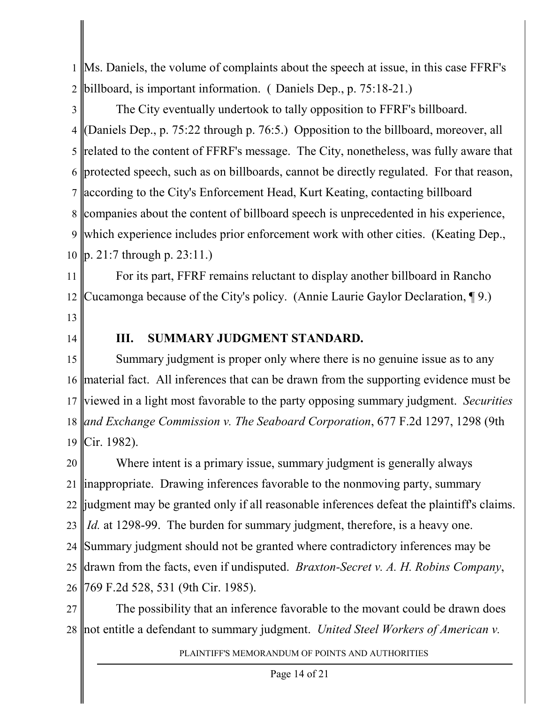1 2 Ms. Daniels, the volume of complaints about the speech at issue, in this case FFRF's billboard, is important information. ( Daniels Dep., p. 75:18-21.)

3 4 5 6 7 8 9 10 The City eventually undertook to tally opposition to FFRF's billboard. (Daniels Dep., p. 75:22 through p. 76:5.) Opposition to the billboard, moreover, all related to the content of FFRF's message. The City, nonetheless, was fully aware that protected speech, such as on billboards, cannot be directly regulated. For that reason, according to the City's Enforcement Head, Kurt Keating, contacting billboard companies about the content of billboard speech is unprecedented in his experience, which experience includes prior enforcement work with other cities. (Keating Dep., p. 21:7 through p. 23:11.)

11 12 For its part, FFRF remains reluctant to display another billboard in Rancho Cucamonga because of the City's policy. (Annie Laurie Gaylor Declaration, ¶ 9.)

- 13
- 14

#### **III. SUMMARY JUDGMENT STANDARD.**

15 16 17 18 *and Exchange Commission v. The Seaboard Corporation*, 677 F.2d 1297, 1298 (9th 19 Summary judgment is proper only where there is no genuine issue as to any material fact. All inferences that can be drawn from the supporting evidence must be viewed in a light most favorable to the party opposing summary judgment. *Securities* Cir. 1982).

20 21 22 judgment may be granted only if all reasonable inferences defeat the plaintiff's claims. 23 24 25 26 Where intent is a primary issue, summary judgment is generally always inappropriate. Drawing inferences favorable to the nonmoving party, summary *Id.* at 1298-99. The burden for summary judgment, therefore, is a heavy one. Summary judgment should not be granted where contradictory inferences may be drawn from the facts, even if undisputed. *Braxton-Secret v. A. H. Robins Company*, 769 F.2d 528, 531 (9th Cir. 1985).

27 28 not entitle a defendant to summary judgment. *United Steel Workers of American v.*The possibility that an inference favorable to the movant could be drawn does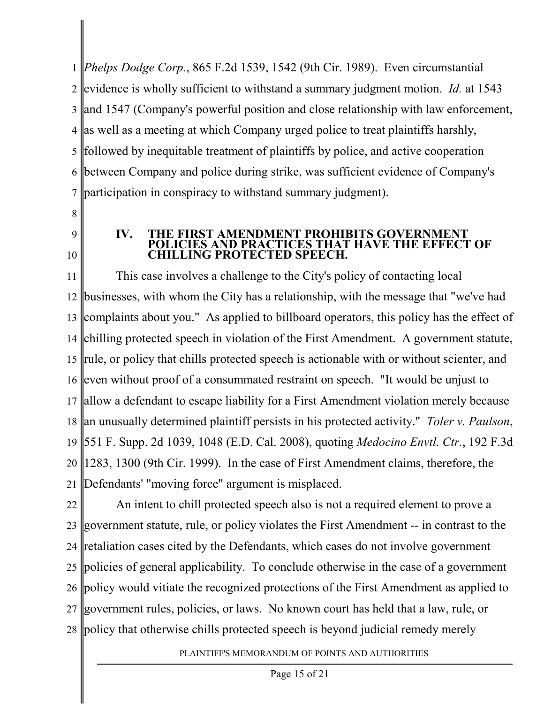1 *Phelps Dodge Corp.*, 865 F.2d 1539, 1542 (9th Cir. 1989). Even circumstantial 2 3 and 1547 (Company's powerful position and close relationship with law enforcement, 4 as well as a meeting at which Company urged police to treat plaintiffs harshly, 5 6 7 evidence is wholly sufficient to withstand a summary judgment motion. *Id.* at 1543 followed by inequitable treatment of plaintiffs by police, and active cooperation between Company and police during strike, was sufficient evidence of Company's participation in conspiracy to withstand summary judgment).

- 8
- 9 10

#### **IV. THE FIRST AMENDMENT PROHIBITS GOVER LICIES AND PRACTICES THAT HAVE THE EFFECT OF** LLING PROTECTED SPEECH.

11 12 13 14 15 16 17 allow a defendant to escape liability for a First Amendment violation merely because 18 an unusually determined plaintiff persists in his protected activity." *Toler v. Paulson*, 19 20 21 This case involves a challenge to the City's policy of contacting local businesses, with whom the City has a relationship, with the message that "we've had complaints about you." As applied to billboard operators, this policy has the effect of chilling protected speech in violation of the First Amendment. A government statute, rule, or policy that chills protected speech is actionable with or without scienter, and even without proof of a consummated restraint on speech. "It would be unjust to 551 F. Supp. 2d 1039, 1048 (E.D. Cal. 2008), quoting *Medocino Envtl. Ctr.*, 192 F.3d 1283, 1300 (9th Cir. 1999). In the case of First Amendment claims, therefore, the Defendants' "moving force" argument is misplaced.

22 23 24 25 26 27 28 policy that otherwise chills protected speech is beyond judicial remedy merelyAn intent to chill protected speech also is not a required element to prove a government statute, rule, or policy violates the First Amendment -- in contrast to the retaliation cases cited by the Defendants, which cases do not involve government policies of general applicability. To conclude otherwise in the case of a government policy would vitiate the recognized protections of the First Amendment as applied to government rules, policies, or laws. No known court has held that a law, rule, or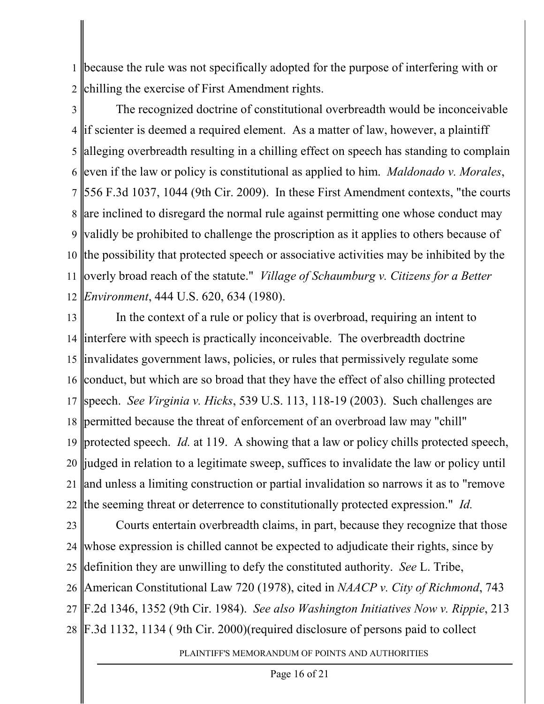1 2 because the rule was not specifically adopted for the purpose of interfering with or chilling the exercise of First Amendment rights.

3 4 5 6 7 8 are inclined to disregard the normal rule against permitting one whose conduct may 9 validly be prohibited to challenge the proscription as it applies to others because of 10 the possibility that protected speech or associative activities may be inhibited by the 11 12 The recognized doctrine of constitutional overbreadth would be inconceivable if scienter is deemed a required element. As a matter of law, however, a plaintiff alleging overbreadth resulting in a chilling effect on speech has standing to complain even if the law or policy is constitutional as applied to him. *Maldonado v. Morales*, 556 F.3d 1037, 1044 (9th Cir. 2009). In these First Amendment contexts, "the courts overly broad reach of the statute." *Village of Schaumburg v. Citizens for a Better Environment*, 444 U.S. 620, 634 (1980).

13 14 15 16 17 speech. *See Virginia v. Hicks*, 539 U.S. 113, 118-19 (2003). Such challenges are 18 permitted because the threat of enforcement of an overbroad law may "chill" 19 20 21 22 the seeming threat or deterrence to constitutionally protected expression." *Id.* In the context of a rule or policy that is overbroad, requiring an intent to interfere with speech is practically inconceivable. The overbreadth doctrine invalidates government laws, policies, or rules that permissively regulate some conduct, but which are so broad that they have the effect of also chilling protected protected speech. *Id.* at 119. A showing that a law or policy chills protected speech, judged in relation to a legitimate sweep, suffices to invalidate the law or policy until and unless a limiting construction or partial invalidation so narrows it as to "remove

23 24 25 26 27 28 F.3d 1132, 1134 ( 9th Cir. 2000)(required disclosure of persons paid to collectCourts entertain overbreadth claims, in part, because they recognize that those whose expression is chilled cannot be expected to adjudicate their rights, since by definition they are unwilling to defy the constituted authority. *See* L. Tribe, American Constitutional Law 720 (1978), cited in *NAACP v. City of Richmond*, 743 F.2d 1346, 1352 (9th Cir. 1984). *See also Washington Initiatives Now v. Rippie*, 213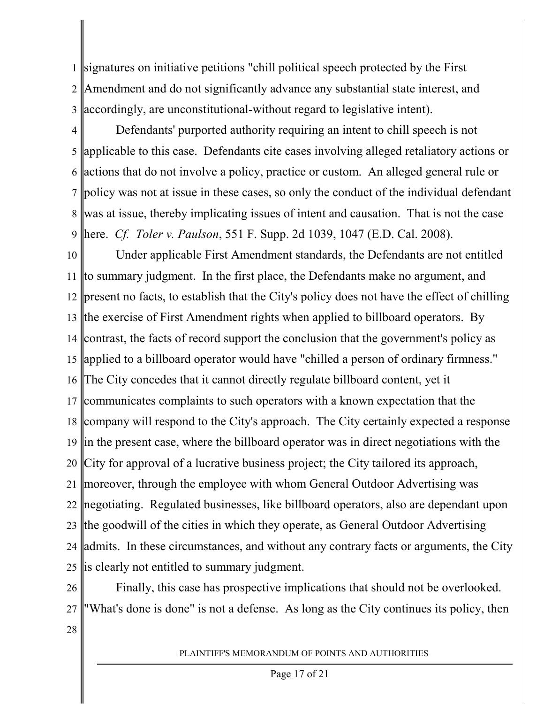1 2 3 signatures on initiative petitions "chill political speech protected by the First Amendment and do not significantly advance any substantial state interest, and accordingly, are unconstitutional-without regard to legislative intent).

4 5 6 7 8 9 Defendants' purported authority requiring an intent to chill speech is not applicable to this case. Defendants cite cases involving alleged retaliatory actions or actions that do not involve a policy, practice or custom. An alleged general rule or policy was not at issue in these cases, so only the conduct of the individual defendant was at issue, thereby implicating issues of intent and causation. That is not the case here. *Cf. Toler v. Paulson*, 551 F. Supp. 2d 1039, 1047 (E.D. Cal. 2008).

10 11 12 present no facts, to establish that the City's policy does not have the effect of chilling 13 the exercise of First Amendment rights when applied to billboard operators. By 14 contrast, the facts of record support the conclusion that the government's policy as 15 applied to a billboard operator would have "chilled a person of ordinary firmness." 16 17 communicates complaints to such operators with a known expectation that the 18 company will respond to the City's approach. The City certainly expected a response 19 in the present case, where the billboard operator was in direct negotiations with the 20 21 22 negotiating. Regulated businesses, like billboard operators, also are dependant upon 23 the goodwill of the cities in which they operate, as General Outdoor Advertising 24 25 Under applicable First Amendment standards, the Defendants are not entitled to summary judgment. In the first place, the Defendants make no argument, and The City concedes that it cannot directly regulate billboard content, yet it City for approval of a lucrative business project; the City tailored its approach, moreover, through the employee with whom General Outdoor Advertising was admits. In these circumstances, and without any contrary facts or arguments, the City is clearly not entitled to summary judgment.

26 27 Finally, this case has prospective implications that should not be overlooked. "What's done is done" is not a defense. As long as the City continues its policy, then

28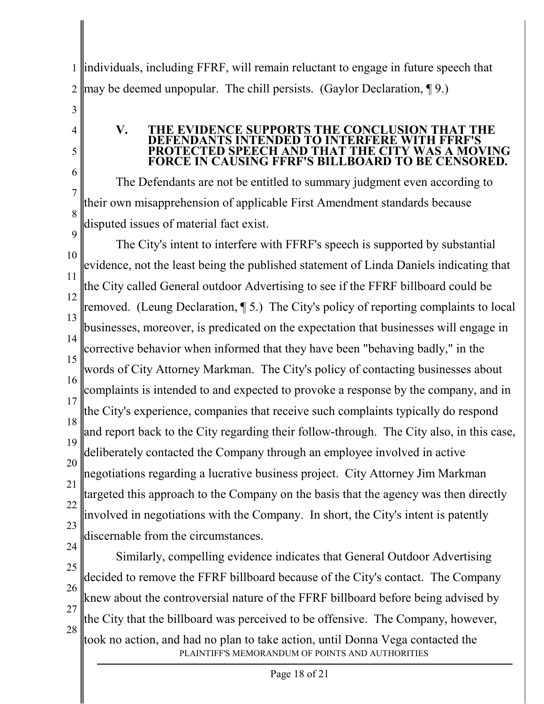1 2 individuals, including FFRF, will remain reluctant to engage in future speech that may be deemed unpopular. The chill persists. (Gaylor Declaration, ¶ 9.)

3

4

5

6

7

8

9

#### **V. THE EVIDENCE SUPPORTS THE CONCLUSION THAT THE IDANTS INTENDED TO INTERFERE WITH FFRF'S<br>ECTED SPEECH AND THAT THE CITY WAS A MOVING ECTED SPEECH AND THAT FORCE IN CAUSING FFRF'S BILLBOARD TO BE CENSORED.**

The Defendants are not be entitled to summary judgment even according to their own misapprehension of applicable First Amendment standards because disputed issues of material fact exist.

10 11 12 13 14 15 16 17 18 19 20 21 22 23 The City's intent to interfere with FFRF's speech is supported by substantial evidence, not the least being the published statement of Linda Daniels indicating that the City called General outdoor Advertising to see if the FFRF billboard could be removed. (Leung Declaration, ¶ 5.) The City's policy of reporting complaints to local businesses, moreover, is predicated on the expectation that businesses will engage in corrective behavior when informed that they have been "behaving badly," in the words of City Attorney Markman. The City's policy of contacting businesses about complaints is intended to and expected to provoke a response by the company, and in the City's experience, companies that receive such complaints typically do respond and report back to the City regarding their follow-through. The City also, in this case, deliberately contacted the Company through an employee involved in active negotiations regarding a lucrative business project. City Attorney Jim Markman targeted this approach to the Company on the basis that the agency was then directly involved in negotiations with the Company. In short, the City's intent is patently discernable from the circumstances.

24 25 26 27 28 PLAINTIFF'S MEMORANDUM OF POINTS AND AUTHORITIES Similarly, compelling evidence indicates that General Outdoor Advertising decided to remove the FFRF billboard because of the City's contact. The Company knew about the controversial nature of the FFRF billboard before being advised by the City that the billboard was perceived to be offensive. The Company, however, took no action, and had no plan to take action, until Donna Vega contacted the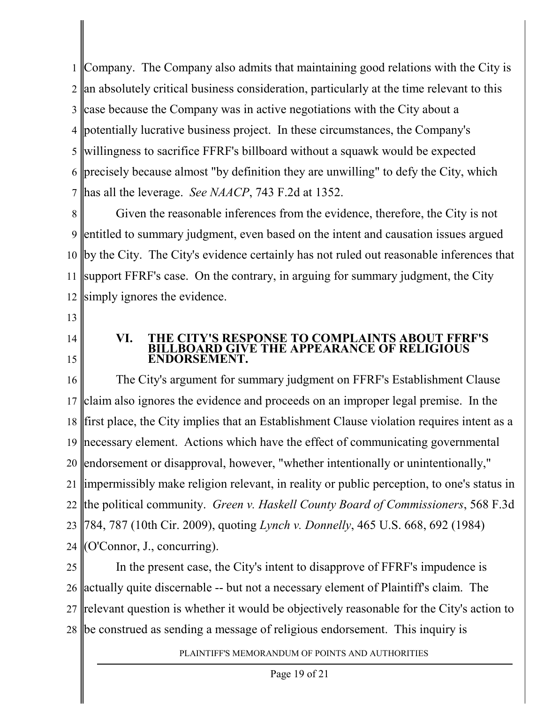1 I 2 3 4 potentially lucrative business project. In these circumstances, the Company's 5 6 7 Company. The Company also admits that maintaining good relations with the City is an absolutely critical business consideration, particularly at the time relevant to this case because the Company was in active negotiations with the City about a willingness to sacrifice FFRF's billboard without a squawk would be expected precisely because almost "by definition they are unwilling" to defy the City, which has all the leverage. *See NAACP*, 743 F.2d at 1352.

8 9 10 11 12 Given the reasonable inferences from the evidence, therefore, the City is not entitled to summary judgment, even based on the intent and causation issues argued by the City. The City's evidence certainly has not ruled out reasonable inferences that support FFRF's case. On the contrary, in arguing for summary judgment, the City simply ignores the evidence.

- 13
- 14 15

#### **VI. THE CITY'S RESPONSE TO COMPLAINTS ABOUT FFRF'S BILLBOARD GIVE THE APPEARANCE OF RELIGIOUS ENDORSEMENT.**

16 17 18 19 necessary element. Actions which have the effect of communicating governmental 20 21 22 the political community. *Green v. Haskell County Board of Commissioners*, 568 F.3d 23 24 The City's argument for summary judgment on FFRF's Establishment Clause claim also ignores the evidence and proceeds on an improper legal premise. In the first place, the City implies that an Establishment Clause violation requires intent as a endorsement or disapproval, however, "whether intentionally or unintentionally," impermissibly make religion relevant, in reality or public perception, to one's status in 784, 787 (10th Cir. 2009), quoting *Lynch v. Donnelly*, 465 U.S. 668, 692 (1984) (O'Connor, J., concurring).

25 26 27 28 be construed as sending a message of religious endorsement. This inquiry isIn the present case, the City's intent to disapprove of FFRF's impudence is actually quite discernable -- but not a necessary element of Plaintiff's claim. The relevant question is whether it would be objectively reasonable for the City's action to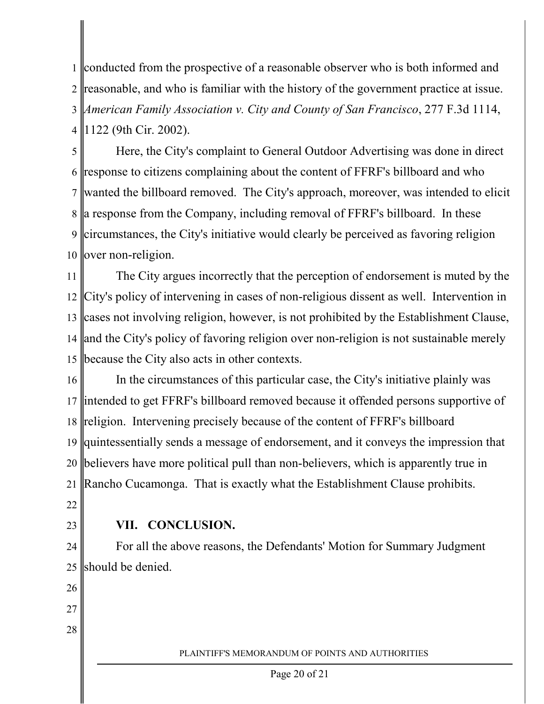1 2 3 4 conducted from the prospective of a reasonable observer who is both informed and reasonable, and who is familiar with the history of the government practice at issue. *American Family Association v. City and County of San Francisco*, 277 F.3d 1114, 1122 (9th Cir. 2002).

5 6 7 8 9 10 Here, the City's complaint to General Outdoor Advertising was done in direct response to citizens complaining about the content of FFRF's billboard and who wanted the billboard removed. The City's approach, moreover, was intended to elicit a response from the Company, including removal of FFRF's billboard. In these circumstances, the City's initiative would clearly be perceived as favoring religion over non-religion.

11 12 13 14 and the City's policy of favoring religion over non-religion is not sustainable merely 15 The City argues incorrectly that the perception of endorsement is muted by the City's policy of intervening in cases of non-religious dissent as well. Intervention in cases not involving religion, however, is not prohibited by the Establishment Clause, because the City also acts in other contexts.

16 17 18 19 20 21 In the circumstances of this particular case, the City's initiative plainly was intended to get FFRF's billboard removed because it offended persons supportive of religion. Intervening precisely because of the content of FFRF's billboard quintessentially sends a message of endorsement, and it conveys the impression that believers have more political pull than non-believers, which is apparently true in Rancho Cucamonga. That is exactly what the Establishment Clause prohibits.

22

23

# **VII. CONCLUSION.**

24 25 For all the above reasons, the Defendants' Motion for Summary Judgment should be denied.